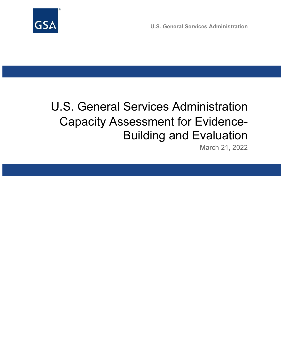

U.S. General Services Administration

# U.S. General Services Administration Capacity Assessment for Evidence-Building and Evaluation

March 21, 2022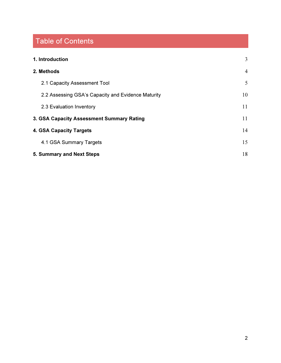# Table of Contents

| 1. Introduction                                    | 3  |
|----------------------------------------------------|----|
| 2. Methods                                         | 4  |
| 2.1 Capacity Assessment Tool                       | 5  |
| 2.2 Assessing GSA's Capacity and Evidence Maturity | 10 |
| 2.3 Evaluation Inventory                           | 11 |
| 3. GSA Capacity Assessment Summary Rating          | 11 |
| 4. GSA Capacity Targets                            | 14 |
| 4.1 GSA Summary Targets                            | 15 |
| 5. Summary and Next Steps                          | 18 |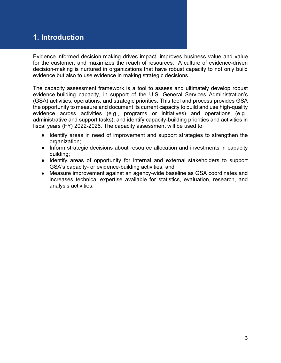# 1. Introduction

Evidence-informed decision-making drives impact, improves business value and value for the customer, and maximizes the reach of resources. A culture of evidence-driven decision-making is nurtured in organizations that have robust capacity to not only build evidence but also to use evidence in making strategic decisions.

The capacity assessment framework is a tool to assess and ultimately develop robust evidence-building capacity, in support of the U.S. General Services Administration's (GSA) activities, operations, and strategic priorities. This tool and process provides GSA the opportunity to measure and document its current capacity to build and use high-quality evidence across activities (e.g., programs or initiatives) and operations (e.g., administrative and support tasks), and identify capacity-building priorities and activities in fiscal years (FY) 2022-2026. The capacity assessment will be used to:

- Identify areas in need of improvement and support strategies to strengthen the organization;
- Inform strategic decisions about resource allocation and investments in capacity building;
- Identify areas of opportunity for internal and external stakeholders to support GSA's capacity- or evidence-building activities; and
- Measure improvement against an agency-wide baseline as GSA coordinates and increases technical expertise available for statistics, evaluation, research, and analysis activities.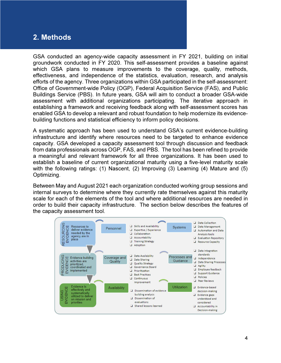## 2. Methods

GSA conducted an agency-wide capacity assessment in FY 2021, building on initial groundwork conducted in FY 2020. This self-assessment provides a baseline against which GSA plans to measure improvements to the coverage, quality, methods, effectiveness, and independence of the statistics, evaluation, research, and analysis efforts of the agency. Three organizations within GSA participated in the self-assessment: Office of Government-wide Policy (OGP), Federal Acquisition Service (FAS), and Public Buildings Service (PBS). In future years, GSA will aim to conduct a broader GSA-wide assessment with additional organizations participating. The iterative approach in establishing a framework and receiving feedback along with self-assessment scores has enabled GSA to develop a relevant and robust foundation to help modernize its evidencebuilding functions and statistical efficiency to inform policy decisions.

A systematic approach has been used to understand GSA's current evidence-building infrastructure and identify where resources need to be targeted to enhance evidence capacity. GSA developed a capacity assessment tool through discussion and feedback from data professionals across OGP, FAS, and PBS. The tool has been refined to provide a meaningful and relevant framework for all three organizations. It has been used to establish a baseline of current organizational maturity using a five-level maturity scale with the following ratings: (1) Nascent, (2) Improving (3) Learning (4) Mature and (5) Optimizing.

Between May and August 2021 each organization conducted working group sessions and internal surveys to determine where they currently rate themselves against this maturity scale for each of the elements of the tool and where additional resources are needed in order to build their capacity infrastructure. The section below describes the features of the capacity assessment tool.

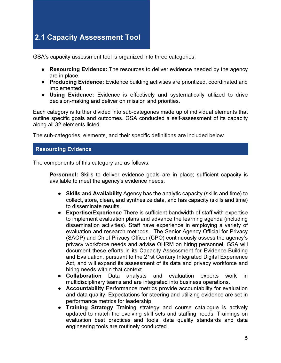# 2.1 Capacity Assessment Tool

GSA's capacity assessment tool is organized into three categories:

- Resourcing Evidence: The resources to deliver evidence needed by the agency are in place.
- Producing Evidence: Evidence building activities are prioritized, coordinated and implemented.
- Using Evidence: Evidence is effectively and systematically utilized to drive decision-making and deliver on mission and priorities.

Each category is further divided into sub-categories made up of individual elements that outline specific goals and outcomes. GSA conducted a self-assessment of its capacity along all 32 elements listed.

The sub-categories, elements, and their specific definitions are included below.

## Resourcing Evidence

The components of this category are as follows:

**Personnel:** Skills to deliver evidence goals are in place; sufficient capacity is available to meet the agency's evidence needs.

- Skills and Availability Agency has the analytic capacity (skills and time) to collect, store, clean, and synthesize data, and has capacity (skills and time) to disseminate results.
- Expertise/Experience There is sufficient bandwidth of staff with expertise to implement evaluation plans and advance the learning agenda (including dissemination activities). Staff have experience in employing a variety of evaluation and research methods. The Senior Agency Official for Privacy (SAOP) and Chief Privacy Officer (CPO) continuously assess the agency's privacy workforce needs and advise OHRM on hiring personnel. GSA will document these efforts in its Capacity Assessment for Evidence-Building and Evaluation, pursuant to the 21st Century Integrated Digital Experience Act, and will expand its assessment of its data and privacy workforce and hiring needs within that context.
- Collaboration Data analysts and evaluation experts work in multidisciplinary teams and are integrated into business operations.
- Accountability Performance metrics provide accountability for evaluation and data quality. Expectations for steering and utilizing evidence are set in performance metrics for leadership.
- Training Strategy Training strategy and course catalogue is actively updated to match the evolving skill sets and staffing needs. Trainings on evaluation best practices and tools, data quality standards and data engineering tools are routinely conducted.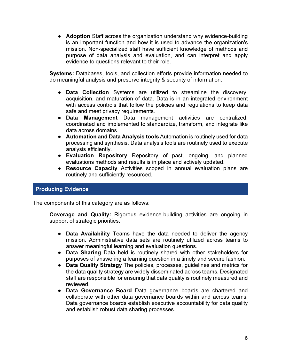• Adoption Staff across the organization understand why evidence-building is an important function and how it is used to advance the organization's mission. Non-specialized staff have sufficient knowledge of methods and purpose of data analysis and evaluation, and can interpret and apply evidence to questions relevant to their role.

Systems: Databases, tools, and collection efforts provide information needed to do meaningful analysis and preserve integrity & security of information.

- Data Collection Systems are utilized to streamline the discovery, acquisition, and maturation of data. Data is in an integrated environment with access controls that follow the policies and regulations to keep data safe and meet privacy requirements.
- Data Management Data management activities are centralized, coordinated and implemented to standardize, transform, and integrate like data across domains.
- Automation and Data Analysis tools Automation is routinely used for data processing and synthesis. Data analysis tools are routinely used to execute analysis efficiently.
- Evaluation Repository Repository of past, ongoing, and planned evaluations methods and results is in place and actively updated.
- Resource Capacity Activities scoped in annual evaluation plans are routinely and sufficiently resourced.

## Producing Evidence

The components of this category are as follows:

Coverage and Quality: Rigorous evidence-building activities are ongoing in support of strategic priorities.

- Data Availability Teams have the data needed to deliver the agency mission. Administrative data sets are routinely utilized across teams to answer meaningful learning and evaluation questions.
- Data Sharing Data held is routinely shared with other stakeholders for purposes of answering a learning question in a timely and secure fashion.
- Data Quality Strategy The policies, processes, guidelines and metrics for the data quality strategy are widely disseminated across teams. Designated staff are responsible for ensuring that data quality is routinely measured and reviewed.
- Data Governance Board Data governance boards are chartered and collaborate with other data governance boards within and across teams. Data governance boards establish executive accountability for data quality and establish robust data sharing processes.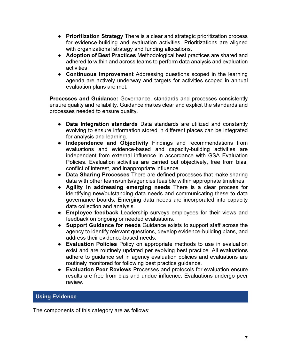- Prioritization Strategy There is a clear and strategic prioritization process for evidence-building and evaluation activities. Prioritizations are aligned with organizational strategy and funding allocations.
- Adoption of Best Practices Methodological best practices are shared and adhered to within and across teams to perform data analysis and evaluation activities.
- Continuous Improvement Addressing questions scoped in the learning agenda are actively underway and targets for activities scoped in annual evaluation plans are met.

Processes and Guidance: Governance, standards and processes consistently ensure quality and reliability. Guidance makes clear and explicit the standards and processes needed to ensure quality.

- Data Integration standards Data standards are utilized and constantly evolving to ensure information stored in different places can be integrated for analysis and learning.
- Independence and Objectivity Findings and recommendations from evaluations and evidence-based and capacity-building activities are independent from external influence in accordance with GSA Evaluation Policies. Evaluation activities are carried out objectively, free from bias, conflict of interest, and inappropriate influence.
- Data Sharing Processes There are defined processes that make sharing data with other teams/units/agencies feasible within appropriate timelines.
- Agility in addressing emerging needs There is a clear process for identifying new/outstanding data needs and communicating these to data governance boards. Emerging data needs are incorporated into capacity data collection and analysis.
- Employee feedback Leadership surveys employees for their views and feedback on ongoing or needed evaluations.
- Support Guidance for needs Guidance exists to support staff across the agency to identify relevant questions, develop evidence-building plans, and address their evidence-based needs.
- Evaluation Policies Policy on appropriate methods to use in evaluation exist and are routinely updated per evolving best practice. All evaluations adhere to guidance set in agency evaluation policies and evaluations are routinely monitored for following best practice guidance.
- Evaluation Peer Reviews Processes and protocols for evaluation ensure results are free from bias and undue influence. Evaluations undergo peer review.

## Using Evidence

The components of this category are as follows: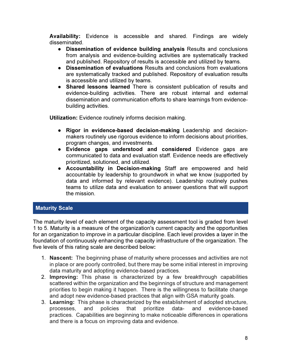Availability: Evidence is accessible and shared. Findings are widely disseminated.

- Dissemination of evidence building analysis Results and conclusions from analysis and evidence-building activities are systematically tracked and published. Repository of results is accessible and utilized by teams.
- Dissemination of evaluations Results and conclusions from evaluations are systematically tracked and published. Repository of evaluation results is accessible and utilized by teams.
- Shared lessons learned There is consistent publication of results and evidence-building activities. There are robust internal and external dissemination and communication efforts to share learnings from evidencebuilding activities.

Utilization: Evidence routinely informs decision making.

- Rigor in evidence-based decision-making Leadership and decisionmakers routinely use rigorous evidence to inform decisions about priorities, program changes, and investments.
- Evidence gaps understood and considered Evidence gaps are communicated to data and evaluation staff. Evidence needs are effectively prioritized, solutioned, and utilized.
- Accountability in Decision-making Staff are empowered and held accountable by leadership to groundwork in what we know (supported by data and informed by relevant evidence). Leadership routinely pushes teams to utilize data and evaluation to answer questions that will support the mission.

## **Maturity Scale**

The maturity level of each element of the capacity assessment tool is graded from level 1 to 5. Maturity is a measure of the organization's current capacity and the opportunities for an organization to improve in a particular discipline. Each level provides a layer in the foundation of continuously enhancing the capacity infrastructure of the organization. The five levels of this rating scale are described below:

- 1. Nascent: The beginning phase of maturity where processes and activities are not in place or are poorly controlled, but there may be some initial interest in improving data maturity and adopting evidence-based practices.
- 2. Improving: This phase is characterized by a few breakthrough capabilities scattered within the organization and the beginnings of structure and management priorities to begin making it happen. There is the willingness to facilitate change and adopt new evidence-based practices that align with GSA maturity goals.
- 3. Learning: This phase is characterized by the establishment of adopted structure, processes, and policies that prioritize data- and evidence-based practices. Capabilities are beginning to make noticeable differences in operations and there is a focus on improving data and evidence.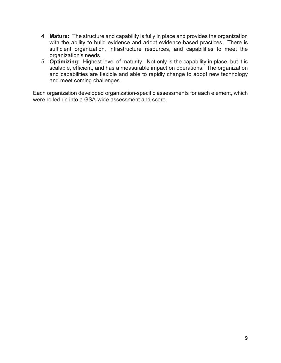- 4. Mature: The structure and capability is fully in place and provides the organization with the ability to build evidence and adopt evidence-based practices. There is sufficient organization, infrastructure resources, and capabilities to meet the organization's needs.
- 5. Optimizing: Highest level of maturity. Not only is the capability in place, but it is scalable, efficient, and has a measurable impact on operations. The organization and capabilities are flexible and able to rapidly change to adopt new technology and meet coming challenges.

Each organization developed organization-specific assessments for each element, which were rolled up into a GSA-wide assessment and score.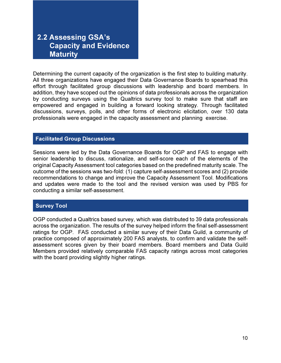# 2.2 Assessing GSA's Capacity and Evidence **Maturity**

Determining the current capacity of the organization is the first step to building maturity. All three organizations have engaged their Data Governance Boards to spearhead this effort through facilitated group discussions with leadership and board members. In addition, they have scoped out the opinions of data professionals across the organization by conducting surveys using the Qualtrics survey tool to make sure that staff are empowered and engaged in building a forward looking strategy. Through facilitated discussions, surveys, polls, and other forms of electronic elicitation, over 130 data professionals were engaged in the capacity assessment and planning exercise.

#### Facilitated Group Discussions

Sessions were led by the Data Governance Boards for OGP and FAS to engage with senior leadership to discuss, rationalize, and self-score each of the elements of the original Capacity Assessment tool categories based on the predefined maturity scale. The outcome of the sessions was two-fold: (1) capture self-assessment scores and (2) provide recommendations to change and improve the Capacity Assessment Tool. Modifications and updates were made to the tool and the revised version was used by PBS for conducting a similar self-assessment.

## Survey Tool

OGP conducted a Qualtrics based survey, which was distributed to 39 data professionals across the organization. The results of the survey helped inform the final self-assessment ratings for OGP. FAS conducted a similar survey of their Data Guild, a community of practice composed of approximately 200 FAS analysts, to confirm and validate the selfassessment scores given by their board members. Board members and Data Guild Members provided relatively comparable FAS capacity ratings across most categories with the board providing slightly higher ratings.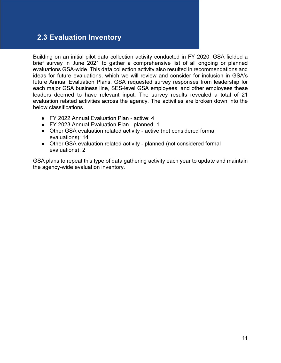# 2.3 Evaluation Inventory

Building on an initial pilot data collection activity conducted in FY 2020, GSA fielded a brief survey in June 2021 to gather a comprehensive list of all ongoing or planned evaluations GSA-wide. This data collection activity also resulted in recommendations and ideas for future evaluations, which we will review and consider for inclusion in GSA's future Annual Evaluation Plans. GSA requested survey responses from leadership for each major GSA business line, SES-level GSA employees, and other employees these leaders deemed to have relevant input. The survey results revealed a total of 21 evaluation related activities across the agency. The activities are broken down into the below classifications.

- FY 2022 Annual Evaluation Plan active: 4
- FY 2023 Annual Evaluation Plan planned: 1
- Other GSA evaluation related activity active (not considered formal evaluations): 14
- Other GSA evaluation related activity planned (not considered formal evaluations): 2

GSA plans to repeat this type of data gathering activity each year to update and maintain the agency-wide evaluation inventory.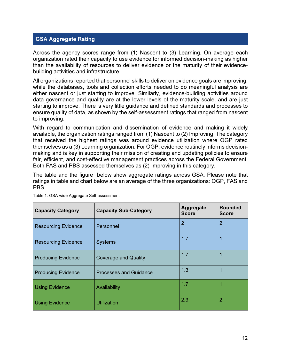## GSA Aggregate Rating

Across the agency scores range from (1) Nascent to (3) Learning. On average each organization rated their capacity to use evidence for informed decision-making as higher than the availability of resources to deliver evidence or the maturity of their evidencebuilding activities and infrastructure.

All organizations reported that personnel skills to deliver on evidence goals are improving, while the databases, tools and collection efforts needed to do meaningful analysis are either nascent or just starting to improve. Similarly, evidence-building activities around data governance and quality are at the lower levels of the maturity scale, and are just starting to improve. There is very little guidance and defined standards and processes to ensure quality of data, as shown by the self-assessment ratings that ranged from nascent to improving.

With regard to communication and dissemination of evidence and making it widely available, the organization ratings ranged from (1) Nascent to (2) Improving. The category that received the highest ratings was around evidence utilization where OGP rated themselves as a (3) Learning organization. For OGP, evidence routinely informs decisionmaking and is key in supporting their mission of creating and updating policies to ensure fair, efficient, and cost-effective management practices across the Federal Government. Both FAS and PBS assessed themselves as (2) Improving in this category.

The table and the figure below show aggregate ratings across GSA. Please note that ratings in table and chart below are an average of the three organizations: OGP, FAS and PBS.

| <b>Capacity Category</b>   | <b>Capacity Sub-Category</b>  | <b>Aggregate</b><br><b>Score</b> | <b>Rounded</b><br><b>Score</b> |
|----------------------------|-------------------------------|----------------------------------|--------------------------------|
| <b>Resourcing Evidence</b> | Personnel                     | $\overline{2}$                   | 2                              |
| <b>Resourcing Evidence</b> | <b>Systems</b>                | 1.7                              |                                |
| <b>Producing Evidence</b>  | <b>Coverage and Quality</b>   | 1.7                              |                                |
| <b>Producing Evidence</b>  | <b>Processes and Guidance</b> | 1.3                              |                                |
| <b>Using Evidence</b>      | Availability                  | 1.7                              |                                |
| <b>Using Evidence</b>      | <b>Utilization</b>            | 2.3                              | 2                              |

Table 1: GSA-wide Aggregate Self-assessment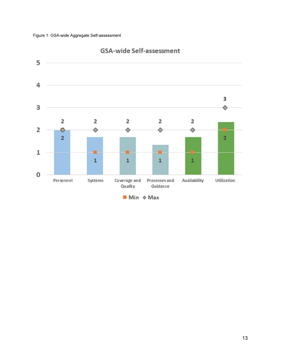

## **GSA-wide Self-assessment**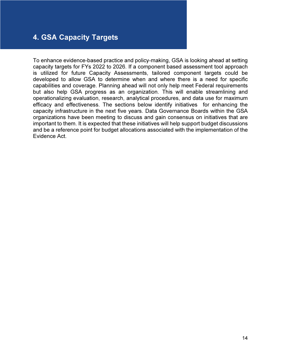# 4. GSA Capacity Targets

To enhance evidence-based practice and policy-making, GSA is looking ahead at setting capacity targets for FYs 2022 to 2026. If a component based assessment tool approach is utilized for future Capacity Assessments, tailored component targets could be developed to allow GSA to determine when and where there is a need for specific capabilities and coverage. Planning ahead will not only help meet Federal requirements but also help GSA progress as an organization. This will enable streamlining and operationalizing evaluation, research, analytical procedures, and data use for maximum efficacy and effectiveness. The sections below identify initiatives for enhancing the capacity infrastructure in the next five years. Data Governance Boards within the GSA organizations have been meeting to discuss and gain consensus on initiatives that are important to them. It is expected that these initiatives will help support budget discussions and be a reference point for budget allocations associated with the implementation of the Evidence Act.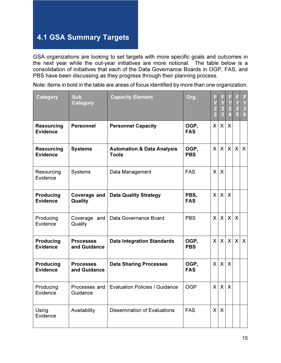# 4.1 GSA Summary Targets

GSA organizations are looking to set targets with more specific goals and outcomes in the next year while the out-year initiatives are more notional. The table below is a consolidation of initiatives that each of the Data Governance Boards in OGP, FAS, and PBS have been discussing as they progress through their planning process.

Note: items in bold in the table are areas of focus identified by more than one organization.

| <b>Category</b>                      | <b>Sub</b><br><b>Category</b>    | <b>Capacity Element</b>                               | Org.               | F<br>$\frac{2}{2}$ | F<br>$\begin{array}{c} \n  \mid X \\ \n 2 \\ \n 3 \end{array}$ | F<br>Ÿ<br>$\frac{2}{4}$ | F<br>$\begin{array}{c}\nY \\ 2 \\ 5\n\end{array}$ | F<br>Y<br>$\frac{2}{6}$   |
|--------------------------------------|----------------------------------|-------------------------------------------------------|--------------------|--------------------|----------------------------------------------------------------|-------------------------|---------------------------------------------------|---------------------------|
| <b>Resourcing</b><br><b>Evidence</b> | <b>Personnel</b>                 | <b>Personnel Capacity</b>                             | OGP,<br><b>FAS</b> | $\mathsf{X}$       | X                                                              | $\mathsf{X}$            |                                                   |                           |
| <b>Resourcing</b><br><b>Evidence</b> | <b>Systems</b>                   | <b>Automation &amp; Data Analysis</b><br><b>Tools</b> | OGP,<br><b>PBS</b> | $\mathsf{X}$       | $\times$                                                       | $\mathsf{X}$            | $\mathsf{X}$                                      | $\boldsymbol{\mathsf{X}}$ |
| Resourcing<br>Evidence               | <b>Systems</b>                   | Data Management                                       | <b>FAS</b>         | $\mathsf{X}$       | $\mathsf{X}$                                                   |                         |                                                   |                           |
| <b>Producing</b><br><b>Evidence</b>  | Coverage and<br>Quality          | <b>Data Quality Strategy</b>                          | PBS,<br><b>FAS</b> | $\mathsf{X}$       | $\mathsf{X}$                                                   | $\mathsf{X}$            |                                                   |                           |
| Producing<br>Evidence                | Coverage and<br>Quality          | Data Governance Board                                 | <b>PBS</b>         | $\mathsf{X}$       | X                                                              | $\mathsf{X}$            | $\mathsf{X}$                                      |                           |
| <b>Producing</b><br><b>Evidence</b>  | <b>Processes</b><br>and Guidance | <b>Data Integration Standards</b>                     | OGP,<br><b>PBS</b> | $\mathsf{X}$       | $\mathsf{X}$                                                   | $\mathsf{X}$            |                                                   | $x \mid x$                |
| <b>Producing</b><br><b>Evidence</b>  | <b>Processes</b><br>and Guidance | <b>Data Sharing Processes</b>                         | OGP,<br><b>FAS</b> | $\mathsf{X}$       | X                                                              | $\sf X$                 |                                                   |                           |
| Producing<br>Evidence                | Processes and<br>Guidance        | <b>Evaluation Policies / Guidance</b>                 | <b>OGP</b>         | $\mathsf{X}$       | $\mathsf{X}$                                                   | $\mathsf{X}$            |                                                   |                           |
| Using<br>Evidence                    | Availability                     | <b>Dissemination of Evaluations</b>                   | <b>FAS</b>         | $\mathsf{X}$       | $\mathsf{X}$                                                   |                         |                                                   |                           |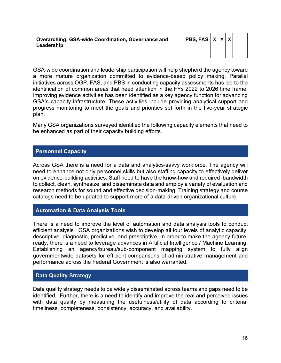| <b>Overarching: GSA-wide Coordination, Governance and</b> | $ $ PBS, FAS $ X X X $ |  |  |  |
|-----------------------------------------------------------|------------------------|--|--|--|
| Leadership                                                |                        |  |  |  |
|                                                           |                        |  |  |  |

GSA-wide coordination and leadership participation will help shepherd the agency toward a more mature organization committed to evidence-based policy making. Parallel initiatives across OGP, FAS, and PBS in conducting capacity assessments has led to the identification of common areas that need attention in the FYs 2022 to 2026 time frame. Improving evidence activities has been identified as a key agency function for advancing GSA's capacity infrastructure. These activities include providing analytical support and progress monitoring to meet the goals and priorities set forth in the five-year strategic plan.

Many GSA organizations surveyed identified the following capacity elements that need to be enhanced as part of their capacity building efforts.

## Personnel Capacity

Across GSA there is a need for a data and analytics-savvy workforce. The agency will need to enhance not only personnel skills but also staffing capacity to effectively deliver on evidence-building activities. Staff need to have the know-how and required bandwidth to collect, clean, synthesize, and disseminate data and employ a variety of evaluation and research methods for sound and effective decision-making. Training strategy and course catalogs need to be updated to support more of a data-driven organizational culture.

#### Automation & Data Analysis Tools

There is a need to improve the level of automation and data analysis tools to conduct efficient analysis. GSA organizations wish to develop all four levels of analytic capacity: descriptive, diagnostic, predictive, and prescriptive. In order to make the agency futureready, there is a need to leverage advances in Artificial Intelligence / Machine Learning. Establishing an agency/bureau/sub-component mapping system to fully align governmentwide datasets for efficient comparisons of administrative management and performance across the Federal Government is also warranted.

## Data Quality Strategy

Data quality strategy needs to be widely disseminated across teams and gaps need to be identified. Further, there is a need to identify and improve the real and perceived issues with data quality by measuring the usefulness/utility of data according to criteria: timeliness, completeness, consistency, accuracy, and availability.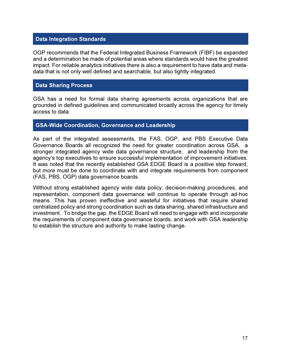## Data Integration Standards

OGP recommends that the Federal Integrated Business Framework (FIBF) be expanded and a determination be made of potential areas where standards would have the greatest impact. For reliable analytics initiatives there is also a requirement to have data and metadata that is not only well defined and searchable, but also tightly integrated.

#### Data Sharing Process

GSA has a need for formal data sharing agreements across organizations that are grounded in defined guidelines and communicated broadly across the agency for timely access to data.

#### GSA-Wide Coordination, Governance and Leadership

As part of the integrated assessments, the FAS, OGP, and PBS Executive Data Governance Boards all recognized the need for greater coordination across GSA, a stronger integrated agency wide data governance structure, and leadership from the agency's top executives to ensure successful implementation of improvement initiatives. It was noted that the recently established GSA EDGE Board is a positive step forward, but more must be done to coordinate with and integrate requirements from component (FAS, PBS, OGP) data governance boards.

Without strong established agency wide data policy, decision-making procedures, and representation, component data governance will continue to operate through ad-hoc means. This has proven ineffective and wasteful for initiatives that require shared centralized policy and strong coordination such as data sharing, shared infrastructure and investment. To bridge the gap, the EDGE Board will need to engage with and incorporate the requirements of component data governance boards, and work with GSA leadership to establish the structure and authority to make lasting change.